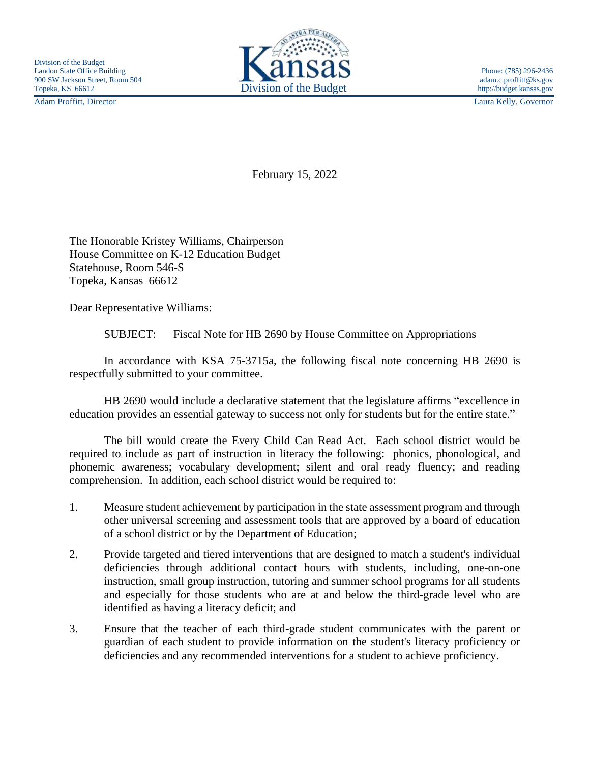Adam Proffitt, Director Laura Kelly, Governor



February 15, 2022

The Honorable Kristey Williams, Chairperson House Committee on K-12 Education Budget Statehouse, Room 546-S Topeka, Kansas 66612

Dear Representative Williams:

SUBJECT: Fiscal Note for HB 2690 by House Committee on Appropriations

In accordance with KSA 75-3715a, the following fiscal note concerning HB 2690 is respectfully submitted to your committee.

HB 2690 would include a declarative statement that the legislature affirms "excellence in education provides an essential gateway to success not only for students but for the entire state."

The bill would create the Every Child Can Read Act. Each school district would be required to include as part of instruction in literacy the following: phonics, phonological, and phonemic awareness; vocabulary development; silent and oral ready fluency; and reading comprehension. In addition, each school district would be required to:

- 1. Measure student achievement by participation in the state assessment program and through other universal screening and assessment tools that are approved by a board of education of a school district or by the Department of Education;
- 2. Provide targeted and tiered interventions that are designed to match a student's individual deficiencies through additional contact hours with students, including, one-on-one instruction, small group instruction, tutoring and summer school programs for all students and especially for those students who are at and below the third-grade level who are identified as having a literacy deficit; and
- 3. Ensure that the teacher of each third-grade student communicates with the parent or guardian of each student to provide information on the student's literacy proficiency or deficiencies and any recommended interventions for a student to achieve proficiency.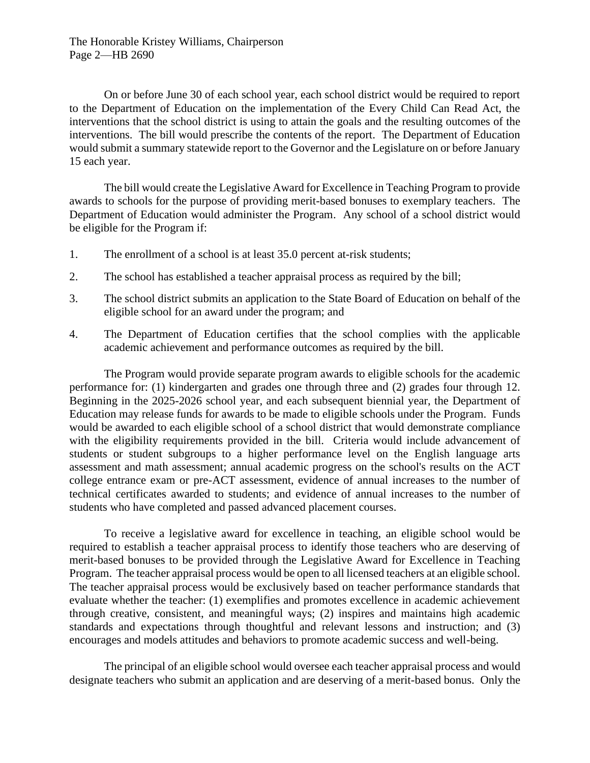The Honorable Kristey Williams, Chairperson Page 2—HB 2690

On or before June 30 of each school year, each school district would be required to report to the Department of Education on the implementation of the Every Child Can Read Act, the interventions that the school district is using to attain the goals and the resulting outcomes of the interventions. The bill would prescribe the contents of the report. The Department of Education would submit a summary statewide report to the Governor and the Legislature on or before January 15 each year.

The bill would create the Legislative Award for Excellence in Teaching Program to provide awards to schools for the purpose of providing merit-based bonuses to exemplary teachers. The Department of Education would administer the Program. Any school of a school district would be eligible for the Program if:

- 1. The enrollment of a school is at least 35.0 percent at-risk students;
- 2. The school has established a teacher appraisal process as required by the bill;
- 3. The school district submits an application to the State Board of Education on behalf of the eligible school for an award under the program; and
- 4. The Department of Education certifies that the school complies with the applicable academic achievement and performance outcomes as required by the bill.

The Program would provide separate program awards to eligible schools for the academic performance for: (1) kindergarten and grades one through three and (2) grades four through 12. Beginning in the 2025-2026 school year, and each subsequent biennial year, the Department of Education may release funds for awards to be made to eligible schools under the Program. Funds would be awarded to each eligible school of a school district that would demonstrate compliance with the eligibility requirements provided in the bill. Criteria would include advancement of students or student subgroups to a higher performance level on the English language arts assessment and math assessment; annual academic progress on the school's results on the ACT college entrance exam or pre-ACT assessment, evidence of annual increases to the number of technical certificates awarded to students; and evidence of annual increases to the number of students who have completed and passed advanced placement courses.

To receive a legislative award for excellence in teaching, an eligible school would be required to establish a teacher appraisal process to identify those teachers who are deserving of merit-based bonuses to be provided through the Legislative Award for Excellence in Teaching Program. The teacher appraisal process would be open to all licensed teachers at an eligible school. The teacher appraisal process would be exclusively based on teacher performance standards that evaluate whether the teacher: (1) exemplifies and promotes excellence in academic achievement through creative, consistent, and meaningful ways; (2) inspires and maintains high academic standards and expectations through thoughtful and relevant lessons and instruction; and (3) encourages and models attitudes and behaviors to promote academic success and well-being.

The principal of an eligible school would oversee each teacher appraisal process and would designate teachers who submit an application and are deserving of a merit-based bonus. Only the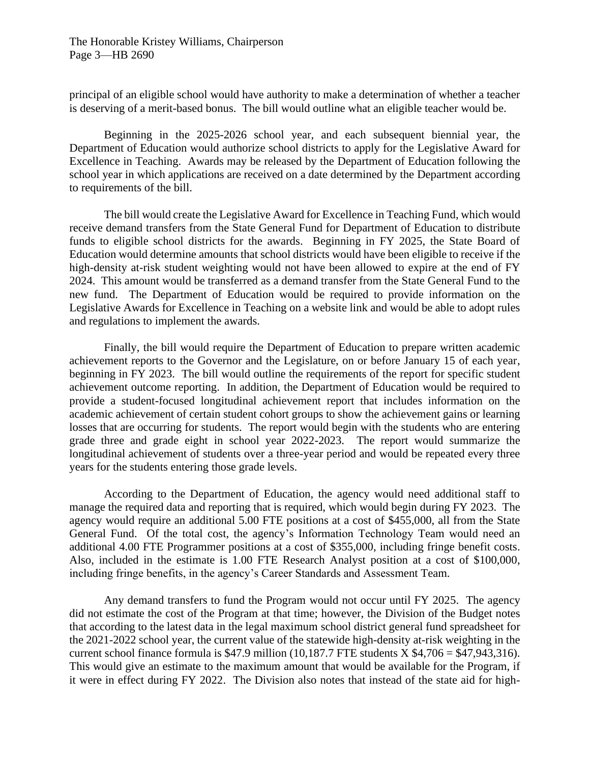principal of an eligible school would have authority to make a determination of whether a teacher is deserving of a merit-based bonus. The bill would outline what an eligible teacher would be.

Beginning in the 2025-2026 school year, and each subsequent biennial year, the Department of Education would authorize school districts to apply for the Legislative Award for Excellence in Teaching. Awards may be released by the Department of Education following the school year in which applications are received on a date determined by the Department according to requirements of the bill.

The bill would create the Legislative Award for Excellence in Teaching Fund, which would receive demand transfers from the State General Fund for Department of Education to distribute funds to eligible school districts for the awards. Beginning in FY 2025, the State Board of Education would determine amounts that school districts would have been eligible to receive if the high-density at-risk student weighting would not have been allowed to expire at the end of FY 2024. This amount would be transferred as a demand transfer from the State General Fund to the new fund. The Department of Education would be required to provide information on the Legislative Awards for Excellence in Teaching on a website link and would be able to adopt rules and regulations to implement the awards.

Finally, the bill would require the Department of Education to prepare written academic achievement reports to the Governor and the Legislature, on or before January 15 of each year, beginning in FY 2023. The bill would outline the requirements of the report for specific student achievement outcome reporting. In addition, the Department of Education would be required to provide a student-focused longitudinal achievement report that includes information on the academic achievement of certain student cohort groups to show the achievement gains or learning losses that are occurring for students. The report would begin with the students who are entering grade three and grade eight in school year 2022-2023. The report would summarize the longitudinal achievement of students over a three-year period and would be repeated every three years for the students entering those grade levels.

According to the Department of Education, the agency would need additional staff to manage the required data and reporting that is required, which would begin during FY 2023. The agency would require an additional 5.00 FTE positions at a cost of \$455,000, all from the State General Fund. Of the total cost, the agency's Information Technology Team would need an additional 4.00 FTE Programmer positions at a cost of \$355,000, including fringe benefit costs. Also, included in the estimate is 1.00 FTE Research Analyst position at a cost of \$100,000, including fringe benefits, in the agency's Career Standards and Assessment Team.

Any demand transfers to fund the Program would not occur until FY 2025. The agency did not estimate the cost of the Program at that time; however, the Division of the Budget notes that according to the latest data in the legal maximum school district general fund spreadsheet for the 2021-2022 school year, the current value of the statewide high-density at-risk weighting in the current school finance formula is \$47.9 million  $(10,187.7$  FTE students X \$4,706 = \$47,943,316). This would give an estimate to the maximum amount that would be available for the Program, if it were in effect during FY 2022. The Division also notes that instead of the state aid for high